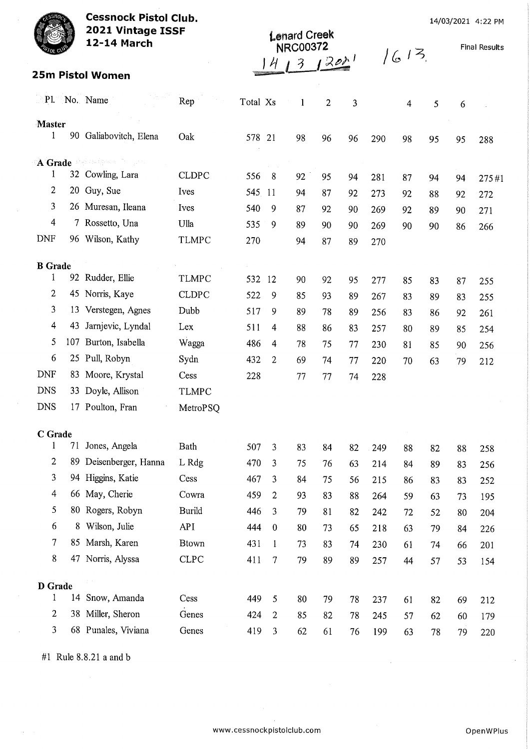| <b>Cessnock Pistol Club.</b><br>2021 Vintage ISSF |     |                         | <b>Lenard Creek</b> |          |                |                 |                |                 | 14/03/2021 4:22 PM |        |    |    |                      |
|---------------------------------------------------|-----|-------------------------|---------------------|----------|----------------|-----------------|----------------|-----------------|--------------------|--------|----|----|----------------------|
|                                                   |     | 12-14 March             |                     |          |                | <b>NRC00372</b> |                |                 |                    |        |    |    | <b>Final Results</b> |
|                                                   |     |                         |                     |          |                | 3               |                | 20 <sup>1</sup> |                    | 1613   |    |    |                      |
|                                                   |     | <b>25m Pistol Women</b> |                     |          |                |                 |                |                 |                    |        |    |    |                      |
|                                                   |     | Pl. No. Name            | Rep                 | Total Xs |                | $\mathbf{1}$    | $\overline{c}$ | 3               |                    | 4      | 5  | 6  |                      |
| <b>Master</b><br>1                                |     | 90 Galiabovitch, Elena  | Oak                 | 578 21   |                | 98              | 96             | 96              | 290                | 98     | 95 | 95 | 288                  |
| A Grade                                           |     | 医感染病病 医下层形              |                     |          |                |                 |                |                 |                    |        |    |    |                      |
| 1                                                 |     | 32 Cowling, Lara        | <b>CLDPC</b>        | 556      | 8              | 92              | 95             | 94              | 281                | 87     | 94 | 94 | 275#1                |
| 2                                                 |     | 20 Guy, Sue             | Ives                | 545 11   |                | 94              | 87             | 92              | 273                | 92     | 88 | 92 | 272                  |
| 3                                                 |     | 26 Muresan, Ileana      | Ives                | 540      | 9              | 87              | 92             | 90              | 269                | 92     | 89 | 90 | 271                  |
| 4                                                 |     | 7 Rossetto, Una         | Ulla                | 535      | 9              | 89              | 90             | 90              | 269                | 90     | 90 | 86 | 266                  |
| <b>DNF</b>                                        |     | 96 Wilson, Kathy        | <b>TLMPC</b>        | 270      |                | 94              | 87             | 89              | 270                |        |    |    |                      |
| <b>B</b> Grade                                    |     |                         |                     |          |                |                 |                |                 |                    |        |    |    |                      |
| 1                                                 |     | 92 Rudder, Ellie        | <b>TLMPC</b>        | 532 12   |                | 90              | 92             | 95              | 277                | 85     | 83 | 87 | 255                  |
| 2                                                 |     | 45 Norris, Kaye         | <b>CLDPC</b>        | 522      | 9              | 85              | 93             | 89              | 267                | 83     | 89 | 83 | 255                  |
| 3                                                 |     | 13 Verstegen, Agnes     | Dubb                | 517      | 9              | 89              | 78             | 89              | 256                | 83     | 86 | 92 | 261                  |
| 4                                                 | 43  | Jarnjevic, Lyndal       | Lex                 | 511      | 4              | 88              | 86             | 83              | 257                | 80     | 89 | 85 | 254                  |
| 5                                                 | 107 | Burton, Isabella        | Wagga               | 486      | 4              | 78              | 75             | 77              | 230                | 81     | 85 | 90 | 256                  |
| 6                                                 |     | 25 Pull, Robyn          | Sydn                | 432      | 2              | 69              | 74             | 77              | 220                | 70     | 63 | 79 | 212                  |
| <b>DNF</b>                                        |     | 83 Moore, Krystal       | Cess                | 228      |                | 77              | 77             | 74              | 228                |        |    |    |                      |
| <b>DNS</b>                                        |     | 33 Doyle, Allison       | <b>TLMPC</b>        |          |                |                 |                |                 |                    |        |    |    |                      |
| <b>DNS</b>                                        |     | 17 Poulton, Fran        | MetroPSQ            |          |                |                 |                |                 |                    |        |    |    |                      |
| C Grade                                           |     |                         |                     |          |                |                 |                |                 |                    | $\sim$ |    |    |                      |
| 1                                                 | 71  | Jones, Angela           | Bath                | 507      | 3              | 83              | 84             | 82              | 249                | 88     | 82 | 88 | 258                  |
| 2                                                 | 89  | Deisenberger, Hanna     | L Rdg               | 470      | 3              | 75              | 76             | 63              | 214                | 84     | 89 | 83 | 256                  |
| 3                                                 |     | 94 Higgins, Katie       | Cess                | 467      | 3              | 84              | 75             | 56              | 215                | 86     | 83 | 83 | 252                  |
| $\overline{4}$                                    |     | 66 May, Cherie          | Cowra               | 459      | $\overline{c}$ | 93              | 83             | 88              | 264                | 59     | 63 | 73 | 195                  |
| 5                                                 | 80  | Rogers, Robyn           | <b>Burild</b>       | 446      | 3              | 79              | 81             | 82              | 242                | 72     | 52 | 80 | 204                  |
| 6                                                 |     | 8 Wilson, Julie         | <b>API</b>          | 444      | $\theta$       | 80              | 73             | 65              | 218                | 63     | 79 | 84 | 226                  |
| 7                                                 | 85  | Marsh, Karen            | <b>Btown</b>        | 431      | $\mathbf{1}$   | 73              | 83             | 74              | 230                | 61     | 74 | 66 | 201                  |
| 8                                                 | 47  | Norris, Alyssa          | <b>CLPC</b>         | 411      | $\tau$         | 79              | 89             | 89              | 257                | 44     | 57 | 53 | 154                  |
| <b>D</b> Grade                                    |     |                         |                     |          |                |                 |                |                 |                    |        |    |    |                      |
| 1                                                 |     | 14 Snow, Amanda         | Cess                | 449      | 5              | 80              | 79             | 78              | 237                | 61     | 82 | 69 | 212                  |
| $\overline{2}$                                    | 38  | Miller, Sheron          | Genes               | 424      | $\overline{2}$ | 85              | 82             | 78              | 245                | 57     | 62 | 60 | 179                  |
| 3                                                 |     | 68 Punales, Viviana     | Genes               | 419      | 3              | 62              | 61             | 76              | 199                | 63     | 78 | 79 | 220                  |
|                                                   |     |                         |                     |          |                |                 |                |                 |                    |        |    |    |                      |

#1 Rule 8.8.21 a and b

 $\bar{\mathcal{A}}$ 

l.

 $\mathcal{A}^{\text{max}}$ 

 $\mathbb{R}^2$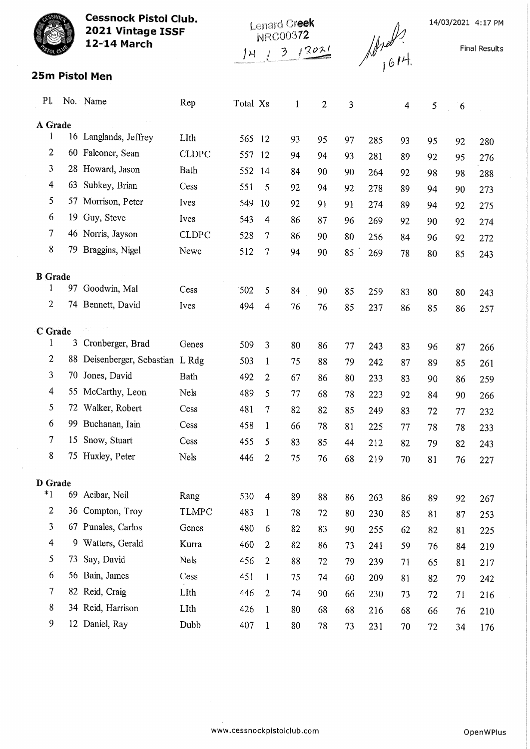| <b>Cessnock Pistol Club.</b><br>2021 Vintage ISSF<br><b>12-14 March</b> |    |                                  | Lenard Creek<br>NRC00372<br>12021<br>3<br>1H. |          |                         |              |                | $\sqrt{4\pi}$ |     |    |    | 14/03/2021 4:17 PM<br><b>Final Results</b> |            |
|-------------------------------------------------------------------------|----|----------------------------------|-----------------------------------------------|----------|-------------------------|--------------|----------------|---------------|-----|----|----|--------------------------------------------|------------|
|                                                                         |    | 25m Pistol Men                   |                                               |          |                         |              |                |               |     |    |    |                                            |            |
| Pl.                                                                     |    | No. Name                         | Rep                                           | Total Xs |                         | $\mathbf{1}$ | $\overline{2}$ | 3             |     | 4  | 5  | 6                                          |            |
| A Grade                                                                 |    |                                  |                                               |          |                         |              |                |               |     |    |    |                                            |            |
| 1                                                                       |    | 16 Langlands, Jeffrey            | LIth                                          | 565      | -12                     | 93           | 95             | 97            | 285 | 93 | 95 | 92                                         | 280        |
| $\overline{2}$                                                          |    | 60 Falconer, Sean                | <b>CLDPC</b>                                  | 557      | 12                      | 94           | 94             | 93            | 281 | 89 | 92 | 95                                         | 276        |
| 3                                                                       |    | 28 Howard, Jason                 | Bath                                          | 552      | 14                      | 84           | 90             | 90            | 264 | 92 | 98 | 98                                         | 288        |
| $\overline{\mathcal{A}}$                                                | 63 | Subkey, Brian                    | Cess                                          | 551      | 5                       | 92           | 94             | 92            | 278 | 89 | 94 | 90                                         | 273        |
| 5                                                                       |    | 57 Morrison, Peter               | Ives                                          | 549      | 10                      | 92           | 91             | 91            | 274 | 89 | 94 | 92                                         | 275        |
| 6                                                                       | 19 | Guy, Steve                       | Ives                                          | 543      | 4                       | 86           | 87             | 96            | 269 | 92 | 90 | 92                                         | 274        |
| 7                                                                       |    | 46 Norris, Jayson                | <b>CLDPC</b>                                  | 528      | 7                       | 86           | 90             | 80            | 256 | 84 | 96 | 92                                         | 272        |
| 8                                                                       |    | 79 Braggins, Nigel               | Newc                                          | 512      | 7                       | 94           | 90             | 85            | 269 | 78 | 80 | 85                                         | 243        |
| <b>B</b> Grade                                                          |    |                                  |                                               |          |                         |              |                |               |     |    |    |                                            |            |
| 1                                                                       |    | 97 Goodwin, Mal                  | Cess                                          | 502      | 5                       | 84           | 90             | 85            | 259 | 83 | 80 | 80                                         | 243        |
| 2                                                                       |    | 74 Bennett, David                | Ives                                          | 494      | 4                       | 76           | 76             | 85            | 237 | 86 | 85 | 86                                         | 257        |
|                                                                         |    |                                  |                                               |          |                         |              |                |               |     |    |    |                                            |            |
| C Grade<br>1                                                            | 3  | Cronberger, Brad                 | Genes                                         | 509      | 3                       | 80           | 86             | 77            | 243 | 83 | 96 | 87                                         |            |
| 2                                                                       |    | 88 Deisenberger, Sebastian L Rdg |                                               | 503      | 1                       | 75           | 88             | 79            | 242 | 87 | 89 | 85                                         | 266        |
| 3                                                                       |    | 70 Jones, David                  | Bath                                          | 492      | 2                       | 67           | 86             | 80            | 233 | 83 | 90 | 86                                         | 261<br>259 |
| 4                                                                       |    | 55 McCarthy, Leon                | Nels                                          | 489      | 5                       | 77           | 68             | 78            | 223 | 92 | 84 | 90                                         | 266        |
| 5                                                                       |    | 72 Walker, Robert                | Cess                                          | 481      | 7                       | 82           | 82             | 85            | 249 | 83 | 72 | $77 \,$                                    | 232        |
| 6                                                                       |    | 99 Buchanan, Iain                | Cess                                          | 458      | 1                       | 66           | 78             | 81            | 225 | 77 | 78 | 78                                         | 233        |
| 7                                                                       | 15 | Snow, Stuart                     | Cess                                          | 455      | 5                       | 83           | 85             | 44            | 212 | 82 | 79 | 82                                         | 243        |
| 8                                                                       |    | 75 Huxley, Peter                 | Nels                                          | 446      | $\overline{2}$          | 75           | 76             | 68            | 219 | 70 | 81 | 76                                         | 227        |
|                                                                         |    |                                  |                                               |          |                         |              |                |               |     |    |    |                                            |            |
| D Grade<br>$*1$                                                         |    | 69 Acibar, Neil                  | Rang                                          | 530      | $\overline{\mathbf{4}}$ | 89           | 88             | 86            | 263 | 86 | 89 | 92                                         | 267        |
| 2                                                                       | 36 | Compton, Troy                    | <b>TLMPC</b>                                  | 483      | $\mathbf{1}$            | 78           | 72             | 80            | 230 | 85 | 81 | 87                                         | 253        |
| 3                                                                       |    | 67 Punales, Carlos               | Genes                                         | 480      | 6                       | 82           | 83             | 90            | 255 | 62 | 82 | 81                                         | 225        |
| 4                                                                       |    | 9 Watters, Gerald                | Kurra                                         | 460      | $\overline{2}$          | 82           | 86             | 73            | 241 | 59 | 76 | 84                                         | 219        |
| 5                                                                       | 73 | Say, David                       | Nels                                          | 456      | $\overline{c}$          | 88           | 72             | 79            | 239 | 71 | 65 | 81                                         | 217        |
| 6                                                                       |    | 56 Bain, James                   | Cess                                          | 451      | $\mathbf{1}$            | 75           | 74             | 60            | 209 | 81 | 82 | 79                                         | 242        |
| 7                                                                       |    | 82 Reid, Craig                   | LIth                                          | 446      | $\overline{2}$          | 74           | 90             | 66            | 230 | 73 | 72 | 71                                         | 216        |
| 8                                                                       |    | 34 Reid, Harrison                | LIth                                          | 426      | $\mathbf{1}$            | 80           | 68             | 68            | 216 | 68 | 66 | 76                                         | 210        |
| 9                                                                       |    | 12 Daniel, Ray                   | Dubb                                          | 407      | $\mathbf{1}$            | 80           | 78             | 73            | 231 | 70 | 72 | 34                                         | 176        |
|                                                                         |    |                                  |                                               |          |                         |              |                |               |     |    |    |                                            |            |

 $\mathcal{A}^{\mathcal{A}}$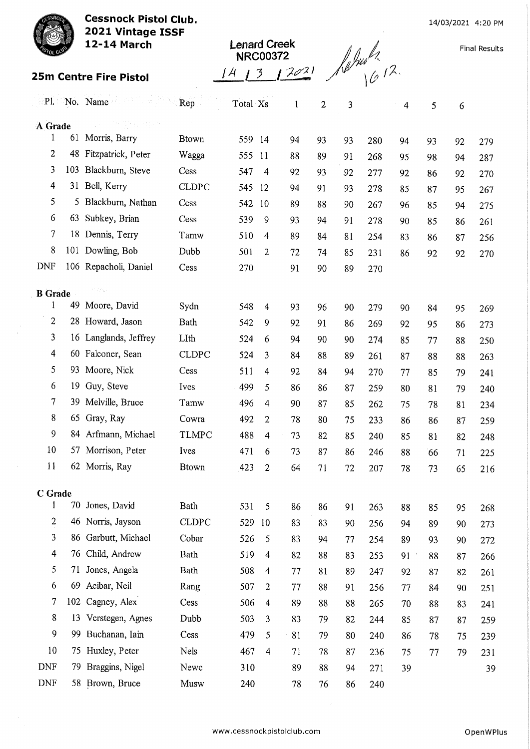Cessnock Pistol Club. 2021 Vintage ISSF



25m Centre Fire Pistol

12-14 March

| <b>Lenard Creek</b> | <b>NRC00372</b> |  |
|---------------------|-----------------|--|
|                     |                 |  |

Final Results

|                         |     | Pl. No. Name                                  | Rep          | Total Xs |                         | $1^{\circ}$ | $\mathbf{2}$ | 3  |     | $\overline{4}$ | 5  | 6  |     |
|-------------------------|-----|-----------------------------------------------|--------------|----------|-------------------------|-------------|--------------|----|-----|----------------|----|----|-----|
| A Grade                 |     | 직원들 여름다운                                      |              |          |                         |             |              |    |     |                |    |    |     |
| 1                       | 61  | Morris, Barry                                 | <b>Btown</b> | 559      | 14                      | 94          | 93           | 93 | 280 | 94             | 93 | 92 | 279 |
| $\overline{2}$          | 48  | Fitzpatrick, Peter                            | Wagga        | 555      | 11                      | 88          | 89           | 91 | 268 | 95             | 98 | 94 | 287 |
| 3                       | 103 | Blackburn, Steve                              | Cess         | 547      | 4                       | 92          | 93           | 92 | 277 | 92             | 86 | 92 | 270 |
| $\overline{\mathbf{4}}$ | 31  | Bell, Kerry                                   | <b>CLDPC</b> | 545      | 12                      | 94          | 91           | 93 | 278 | 85             | 87 | 95 | 267 |
| 5                       | 5.  | Blackburn, Nathan                             | Cess         | 542      | 10                      | 89          | 88           | 90 | 267 | 96             | 85 | 94 | 275 |
| 6                       | 63  | Subkey, Brian                                 | Cess         | 539      | 9                       | 93          | 94           | 91 | 278 | 90             | 85 | 86 | 261 |
| $\tau$                  |     | 18 Dennis, Terry                              | Tamw         | 510      | 4                       | 89          | 84           | 81 | 254 | 83             | 86 | 87 | 256 |
| 8                       |     | 101 Dowling, Bob                              | Dubb         | 501      | $\overline{2}$          | 72          | 74           | 85 | 231 | 86             | 92 | 92 | 270 |
| <b>DNF</b>              |     | 106 Repacholi, Daniel                         | Cess         | 270      |                         | 91          | 90           | 89 | 270 |                |    |    |     |
|                         |     | $\mathcal{O}(\mathcal{L}^{\rm reg}_{\rm{L}})$ |              |          |                         |             |              |    |     |                |    |    |     |
| <b>B</b> Grade<br>1     | 49  | Moore, David                                  | Sydn         | 548      | 4                       | 93          | 96           | 90 | 279 | 90             | 84 | 95 | 269 |
| $\overline{c}$          |     | 28 Howard, Jason                              | <b>Bath</b>  | 542      | 9                       | 92          | 91           | 86 | 269 | 92             | 95 | 86 | 273 |
| 3                       |     | 16 Langlands, Jeffrey                         | LIth         | 524      | 6                       | 94          | 90           | 90 | 274 | 85             | 77 | 88 | 250 |
| $\overline{4}$          | 60. | Falconer, Sean                                | <b>CLDPC</b> | 524      | 3                       | 84          | 88           | 89 | 261 | 87             | 88 | 88 | 263 |
| 5                       | 93. | Moore, Nick                                   | Cess         | 511      | $\overline{\mathbf{4}}$ | 92          | 84           | 94 | 270 | 77             | 85 | 79 | 241 |
| 6                       | 19  | Guy, Steve                                    | Ives         | 499      | 5                       | 86          | 86           | 87 | 259 | 80             | 81 | 79 | 240 |
| $\tau$                  | 39  | Melville, Bruce                               | Tamw         | 496      | 4                       | 90          | 87           | 85 | 262 | 75             | 78 | 81 | 234 |
| 8                       | 65  | Gray, Ray                                     | Cowra        | 492      | $\overline{2}$          | 78          | 80           | 75 | 233 | 86             | 86 | 87 | 259 |
| 9                       |     | 84 Arfmann, Michael                           | <b>TLMPC</b> | 488      | $\overline{4}$          | 73          | 82           | 85 | 240 | 85             | 81 | 82 | 248 |
| 10                      | 57  | Morrison, Peter                               | Ives         | 471      | 6                       | 73          | 87           | 86 | 246 | 88             | 66 | 71 | 225 |
| 11                      |     | 62 Morris, Ray                                | <b>Btown</b> | 423      | 2                       | 64          | 71           | 72 | 207 | 78             | 73 | 65 | 216 |
|                         |     |                                               |              |          |                         |             |              |    |     |                |    |    |     |
| C Grade                 |     |                                               |              |          |                         |             |              |    |     |                |    |    |     |
| 1                       |     | 70 Jones, David                               | Bath         | 531      | 5                       | 86          | 86           | 91 | 263 | 88             | 85 | 95 | 268 |
| $\overline{c}$          |     | 46 Norris, Jayson                             | <b>CLDPC</b> | 529      | 10                      | 83          | 83           | 90 | 256 | 94             | 89 | 90 | 273 |
| 3                       | 86  | Garbutt, Michael                              | Cobar        | 526      | 5                       | 83          | 94           | 77 | 254 | 89             | 93 | 90 | 272 |
| $\overline{4}$          | 76  | Child, Andrew                                 | <b>Bath</b>  | 519      | $\overline{4}$          | 82          | 88           | 83 | 253 | 91             | 88 | 87 | 266 |
| 5                       | 71  | Jones, Angela                                 | Bath         | 508      | $\overline{4}$          | 77          | 81           | 89 | 247 | 92             | 87 | 82 | 261 |
| 6                       | 69  | Acibar, Neil                                  | Rang         | 507      | 2                       | 77          | 88           | 91 | 256 | 77             | 84 | 90 | 251 |
| 7                       |     | 102 Cagney, Alex                              | Cess         | 506      | 4                       | 89          | 88           | 88 | 265 | 70             | 88 | 83 | 241 |
| 8                       | 13  | Verstegen, Agnes                              | Dubb         | 503      | 3                       | 83          | 79           | 82 | 244 | 85             | 87 | 87 | 259 |
| 9                       | 99. | Buchanan, Iain                                | Cess         | 479      | 5                       | 81          | 79           | 80 | 240 | 86             | 78 | 75 | 239 |
| 10                      |     | 75 Huxley, Peter                              | Nels         | 467      | $\overline{4}$          | 71          | 78           | 87 | 236 | 75             | 77 | 79 | 231 |
| <b>DNF</b>              | 79  | Braggins, Nigel                               | Newc         | 310      |                         | 89          | 88           | 94 | 271 | 39             |    |    | 39  |
| <b>DNF</b>              |     | 58 Brown, Bruce                               | Musw         | 240      |                         | 78          | 76           | 86 | 240 |                |    |    |     |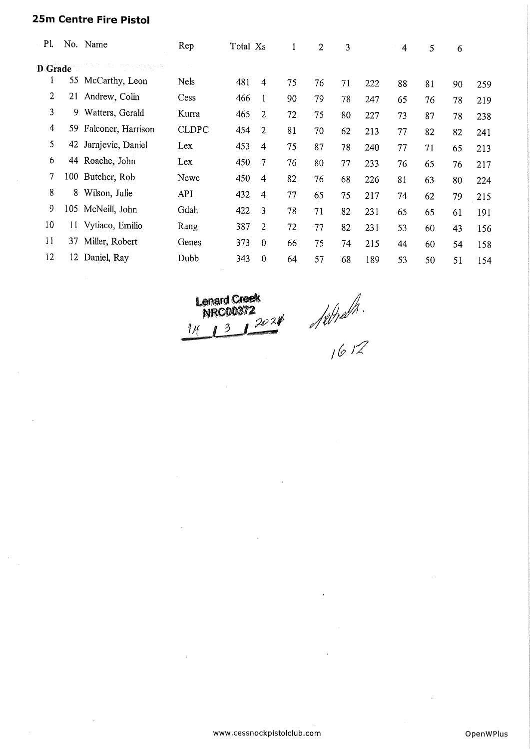## 25m Centre Fire Pistol

| P1.            |     | No. Name             | Rep          | Total Xs |                | $\mathbf{1}$ | $\overline{c}$ | 3  |     | $\overline{4}$ | 5  | 6  |     |
|----------------|-----|----------------------|--------------|----------|----------------|--------------|----------------|----|-----|----------------|----|----|-----|
| <b>D</b> Grade |     |                      |              |          |                |              |                |    |     |                |    |    |     |
| 1              |     | 55 McCarthy, Leon    | <b>Nels</b>  | 481      | 4              | 75           | 76             | 71 | 222 | 88             | 81 | 90 | 259 |
| $\overline{c}$ | 21  | Andrew, Colin        | Cess         | 466      |                | 90           | 79             | 78 | 247 | 65             | 76 | 78 | 219 |
| 3              | 9.  | Watters, Gerald      | Kurra        | 465      | 2              | 72           | 75             | 80 | 227 | 73             | 87 | 78 | 238 |
| $\overline{4}$ | 59. | Falconer, Harrison   | <b>CLDPC</b> | 454      | $\overline{2}$ | 81           | 70             | 62 | 213 | 77             | 82 | 82 | 241 |
| 5              |     | 42 Jarnjevic, Daniel | Lex          | 453      | 4              | 75           | 87             | 78 | 240 | 77             | 71 | 65 | 213 |
| 6              |     | 44 Roache, John      | Lex          | 450      | 7              | 76           | 80             | 77 | 233 | 76             | 65 | 76 | 217 |
| 7              |     | 100 Butcher, Rob     | Newc         | 450      | 4              | 82           | 76             | 68 | 226 | 81             | 63 | 80 | 224 |
| 8              | 8   | Wilson, Julie        | <b>API</b>   | 432      | 4              | 77           | 65             | 75 | 217 | 74             | 62 | 79 | 215 |
| 9              | 105 | McNeill, John        | Gdah         | 422      | 3              | 78           | 71             | 82 | 231 | 65             | 65 | 61 | 191 |
| 10             | П   | Vytiaco, Emilio      | Rang         | 387      | 2              | 72           | 77             | 82 | 231 | 53             | 60 | 43 | 156 |
| 11             | 37  | Miller, Robert       | Genes        | 373      | $\mathbf 0$    | 66           | 75             | 74 | 215 | 44             | 60 | 54 | 158 |
| 12             | 12  | Daniel, Ray          | Dubb         | 343      | $\Omega$       | 64           | 57             | 68 | 189 | 53             | 50 | 51 | 154 |
|                |     |                      |              |          |                |              |                |    |     |                |    |    |     |

 $^{20}$   $^{20}$  $\overline{\mathcal{E}}$  $\frac{1}{4}$ 

16 TZ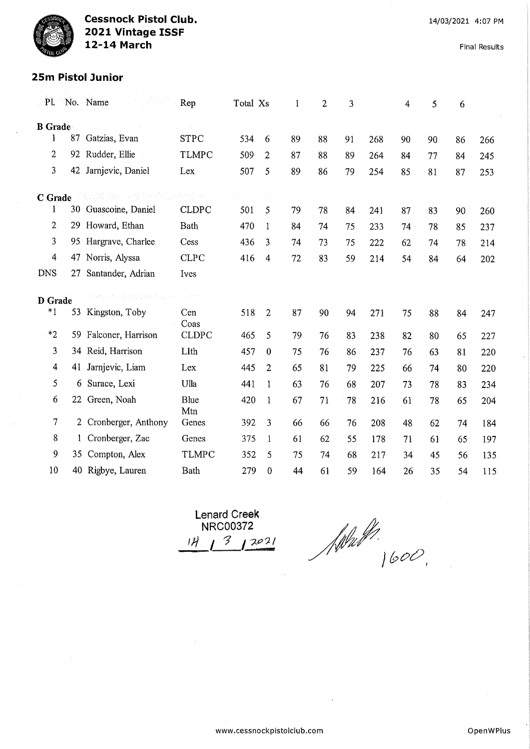Final Results

## 25m Pistol Junior

| P1                      |              | No. Name                            | Rep                | Total Xs |                  | $\mathbf{1}$ | $\overline{2}$ | 3  |     | 4      | 5  | 6  |     |
|-------------------------|--------------|-------------------------------------|--------------------|----------|------------------|--------------|----------------|----|-----|--------|----|----|-----|
| <b>B</b> Grade          |              |                                     |                    |          |                  |              |                |    |     |        |    |    |     |
| $\mathbf{1}$            | 87           | Gatzias, Evan                       | <b>STPC</b>        | 534      | 6                | 89           | 88             | 91 | 268 | 90     | 90 | 86 | 266 |
| $\overline{c}$          | 92           | Rudder, Ellie                       | <b>TLMPC</b>       | 509      | $\overline{c}$   | 87           | 88             | 89 | 264 | 84     | 77 | 84 | 245 |
| 3                       | 42           | Jarnjevic, Daniel                   | Lex                | 507      | 5                | 89           | 86             | 79 | 254 | 85     | 81 | 87 | 253 |
| C Grade                 |              | 사 그래 있습니다. 그의 회도 직접 만들어 버렸어요.       |                    |          |                  |              |                |    |     |        |    |    |     |
| 1                       | 30           | Guascoine, Daniel                   | <b>CLDPC</b>       | 501      | 5                | 79           | 78             | 84 | 241 | 87     | 83 | 90 | 260 |
| 2                       | 29           | Howard, Ethan                       | Bath               | 470      | 1                | 84           | 74             | 75 | 233 | $74 -$ | 78 | 85 | 237 |
| 3                       |              | 95 Hargrave, Charlee                | Cess               | 436      | 3                | 74           | 73             | 75 | 222 | 62     | 74 | 78 | 214 |
| 4                       | 47           | Norris, Alyssa                      | <b>CLPC</b>        | 416      | $\overline{4}$   | 72           | 83             | 59 | 214 | 54     | 84 | 64 | 202 |
| <b>DNS</b>              | 27           | Santander, Adrian                   | Ives               |          |                  |              |                |    |     |        |    |    |     |
| D Grade                 |              | the second to the second control of |                    |          |                  |              |                |    |     |        |    |    |     |
| $*1$                    | 53           | Kingston, Toby                      | Cen<br>Coas        | 518      | $\mathbf{2}$     | 87           | 90             | 94 | 271 | 75     | 88 | 84 | 247 |
| $*2$                    | 59           | Falconer, Harrison                  | <b>CLDPC</b>       | 465      | 5                | 79           | 76             | 83 | 238 | 82     | 80 | 65 | 227 |
| 3                       | 34           | Reid, Harrison                      | LIth               | 457      | 0                | 75           | 76             | 86 | 237 | 76     | 63 | 81 | 220 |
| $\overline{\mathbf{4}}$ | 41           | Jarnjevic, Liam                     | Lex                | 445      | 2                | 65           | 81             | 79 | 225 | 66     | 74 | 80 | 220 |
| 5                       | 6            | Surace, Lexi                        | Ulla               | 441      | $\mathbf{1}$     | 63           | 76             | 68 | 207 | 73     | 78 | 83 | 234 |
| 6                       |              | 22 Green, Noah                      | <b>Blue</b><br>Mtn | 420      | 1                | 67           | 71             | 78 | 216 | 61     | 78 | 65 | 204 |
| $\overline{7}$          | $\mathbf{2}$ | Cronberger, Anthony                 | Genes              | 392      | 3                | 66           | 66             | 76 | 208 | 48     | 62 | 74 | 184 |
| 8                       | $\mathbf{1}$ | Cronberger, Zac                     | Genes              | 375      | $\mathbf{1}$     | 61           | 62             | 55 | 178 | 71     | 61 | 65 | 197 |
| 9                       | 35           | Compton, Alex                       | <b>TLMPC</b>       | 352      | $\overline{5}$   | 75           | 74             | 68 | 217 | 34     | 45 | 56 | 135 |
| 10                      |              | 40 Rigbye, Lauren                   | <b>Bath</b>        | 279      | $\boldsymbol{0}$ | 44           | 61             | 59 | 164 | 26     | 35 | 54 | 115 |

Lenard Creek NRC00372  $13$   $12021$ 

.<br>\\\n\\\\  $|600$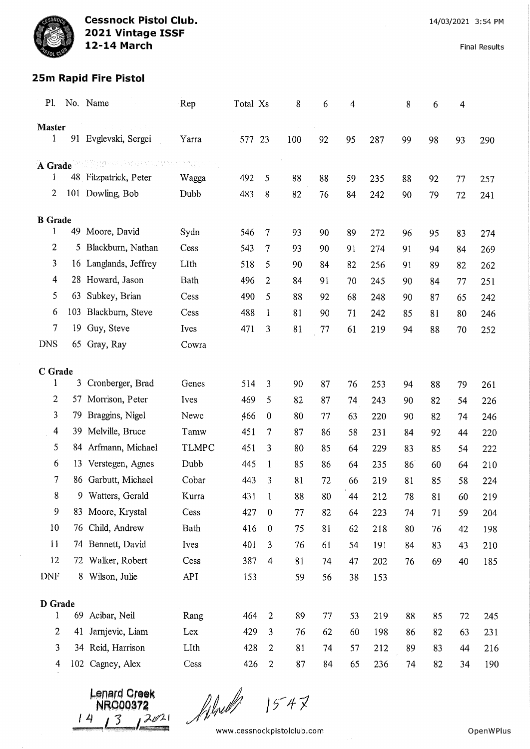# 25m Rapid Fire Pistol

| Pl.                 |     | No. Name                | Rep          | Total Xs |                  | 8   | 6      | 4        |            | 8        | 6        | 4        |            |
|---------------------|-----|-------------------------|--------------|----------|------------------|-----|--------|----------|------------|----------|----------|----------|------------|
| <b>Master</b>       |     | 计可选择程序                  |              |          |                  |     |        |          |            |          |          |          |            |
| $\mathbf{1}$        |     | 91 Evglevski, Sergei    | Yarra        | 577 23   |                  | 100 | 92     | 95       | 287        | 99       | 98       | 93       | 290        |
| A Grade             |     | 212223 * 123 234 1230 1 |              |          |                  |     |        |          |            |          |          |          |            |
| 1                   |     | 48 Fitzpatrick, Peter   | Wagga        | 492      | 5                | 88  | 88     | 59       | 235        | 88       | 92       | 77       | 257        |
| 2                   |     | 101 Dowling, Bob        | Dubb         | 483      | 8                | 82  | 76     | 84       | 242        | 90       | 79       | 72       | 241        |
|                     |     |                         |              |          |                  |     |        |          |            |          |          |          |            |
| <b>B</b> Grade<br>1 | 49  | Moore, David            | Sydn         | 546      | $\overline{7}$   | 93  | 90     | 89       |            |          |          |          |            |
| 2                   | 5   | Blackburn, Nathan       | Cess         | 543      | 7                | 93  | 90     | 91       | 272<br>274 | 96<br>91 | 95       | 83       | 274        |
| 3                   |     | 16 Langlands, Jeffrey   | LIth         | 518      | 5                | 90  | 84     |          |            |          | 94       | 84       | 269        |
| 4                   |     | 28 Howard, Jason        | Bath         | 496      | $\overline{2}$   | 84  | 91     | 82       | 256        | 91       | 89       | 82       | 262        |
| 5                   | 63  | Subkey, Brian           | Cess         | 490      | 5                | 88  | 92     | 70<br>68 | 245<br>248 | 90<br>90 | 84<br>87 | 77       | 251        |
| 6                   |     | 103 Blackburn, Steve    | Cess         | 488      | 1                | 81  | 90     | 71       | 242        | 85       | 81       | 65<br>80 | 242<br>246 |
| 7                   |     | 19 Guy, Steve           | Ives         | 471      | 3                | 81  | 77     | 61       | 219        | 94       | 88       | 70       | 252        |
| <b>DNS</b>          |     | 65 Gray, Ray            | Cowra        |          |                  |     |        |          |            |          |          |          |            |
|                     |     |                         |              |          |                  |     |        |          |            |          |          |          |            |
| C Grade             |     |                         |              |          |                  |     |        |          |            |          |          |          |            |
| 1                   |     | 3 Cronberger, Brad      | Genes        | 514      | 3                | 90  | 87     | 76       | 253        | 94       | 88       | 79       | 261        |
| $\overline{c}$      | 57  | Morrison, Peter         | Ives         | 469      | 5                | 82  | 87     | 74       | 243        | 90       | 82       | 54       | 226        |
| 3                   | 79. | Braggins, Nigel         | Newc         | 466      | $\mathbf 0$      | 80  | 77     | 63       | 220        | 90       | 82       | 74       | 246        |
| 4                   | 39  | Melville, Bruce         | Tamw         | 451      | 7                | 87  | 86     | 58       | 231        | 84       | 92       | 44       | 220        |
| 5                   | 84  | Arfmann, Michael        | <b>TLMPC</b> | 451      | 3                | 80  | 85     | 64       | 229        | 83       | 85       | 54       | 222        |
| 6                   | 13  | Verstegen, Agnes        | Dubb         | 445      | 1                | 85  | 86     | 64       | 235        | 86       | 60       | 64       | 210        |
| 7                   |     | 86 Garbutt, Michael     | Cobar        | 443      | 3                | 81  | 72     | 66       | 219        | 81       | 85       | 58       | 224        |
| 8                   |     | 9 Watters, Gerald       | Kurra        | 431      | $\mathbf{1}$     | 88  | $80\,$ | 44       | 212        | 78       | 81       | 60       | 219        |
| 9                   |     | 83 Moore, Krystal       | Cess         | 427      | $\pmb{0}$        | 77  | 82     | 64       | 223        | 74       | 71       | 59       | 204        |
| 10                  | 76  | Child, Andrew           | Bath         | 416      | $\theta$         | 75  | 81     | 62       | 218        | 80       | 76       | 42       | 198        |
| 11                  |     | 74 Bennett, David       | Ives         | 401      | 3                | 76  | 61     | 54       | 191        | 84       | 83       | 43       | 210        |
| 12                  |     | 72 Walker, Robert       | Cess         | 387      | $\overline{4}$   | 81  | 74     | 47       | 202        | 76       | 69       | 40       | 185        |
| <b>DNF</b>          |     | 8 Wilson, Julie         | API          | 153      |                  | 59  | 56     | 38       | 153        |          |          |          |            |
| D Grade             |     |                         |              |          |                  |     |        |          |            |          |          |          |            |
| 1                   | 69  | Acibar, Neil            | Rang         | 464      | $\boldsymbol{2}$ | 89  | 77     | 53       | 219        | 88       | 85       | 72       | 245        |
| 2                   | 41  | Jarnjevic, Liam         | Lex          | 429      | 3                | 76  | 62     | 60       | 198        | 86       | 82       | 63       | 231        |
| 3                   |     | 34 Reid, Harrison       | LIth         | 428      | 2                | 81  | 74     | 57       | 212        | 89       | 83       | 44       | 216        |
| 4                   |     | 102 Cagney, Alex        | Cess         | 426      | $\overline{2}$   | 87  | 84     | 65       | 236        | $-74$    | 82       | 34       | 190        |

**PLETA CLARK** NRG00378  $\frac{14}{7}$ 

f ifred  $\mathcal{V}^{\pm}$ 

www.cessnockpistolclub.com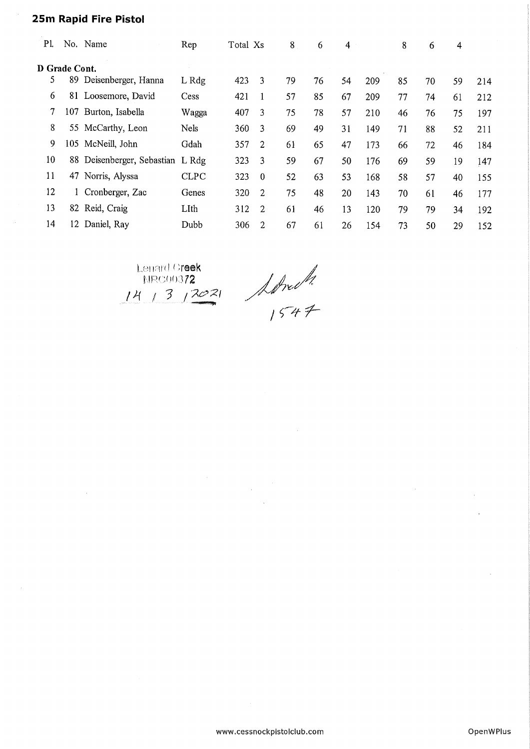## 25m Rapid Fire Pistol

 $\sim$ 

| P1.           |     | No. Name                         | Rep         | Total Xs |                | 8  | 6  | 4  |     | 8  | 6  | 4  |     |
|---------------|-----|----------------------------------|-------------|----------|----------------|----|----|----|-----|----|----|----|-----|
| D Grade Cont. |     |                                  |             |          |                |    |    |    |     |    |    |    |     |
| 5             | 89  | Deisenberger, Hanna              | L Rdg       | 423      | 3              | 79 | 76 | 54 | 209 | 85 | 70 | 59 | 214 |
| 6             | 81  | Loosemore, David                 | Cess        | 421      |                | 57 | 85 | 67 | 209 | 77 | 74 | 61 | 212 |
| 7             | 107 | Burton, Isabella                 | Wagga       | 407      | 3              | 75 | 78 | 57 | 210 | 46 | 76 | 75 | 197 |
| 8             |     | 55 McCarthy, Leon                | Nels        | 360      | 3              | 69 | 49 | 31 | 149 | 71 | 88 | 52 | 211 |
| 9             |     | 105 McNeill, John                | Gdah        | 357      | $\overline{2}$ | 61 | 65 | 47 | 173 | 66 | 72 | 46 | 184 |
| 10            |     | 88 Deisenberger, Sebastian L Rdg |             | 323      | 3              | 59 | 67 | 50 | 176 | 69 | 59 | 19 | 147 |
| 11            | 47  | Norris, Alyssa                   | <b>CLPC</b> | 323      | $\Omega$       | 52 | 63 | 53 | 168 | 58 | 57 | 40 | 155 |
| 12            |     | Cronberger, Zac                  | Genes       | 320      | 2              | 75 | 48 | 20 | 143 | 70 | 61 | 46 | 177 |
| 13            | 82  | Reid, Craig                      | LIth        | 312      | $\overline{2}$ | 61 | 46 | 13 | 120 | 79 | 79 | 34 | 192 |
| 14            | 12. | Daniel, Ray                      | Dubb        | 306      | 2              | 67 | 61 | 26 | 154 | 73 | 50 | 29 | 152 |

Lenard Greek  $NRC0037$ / 3  $/2021$ 

/ £r/f- 7^-

www.cessnockpistolclub.com OpenWPIus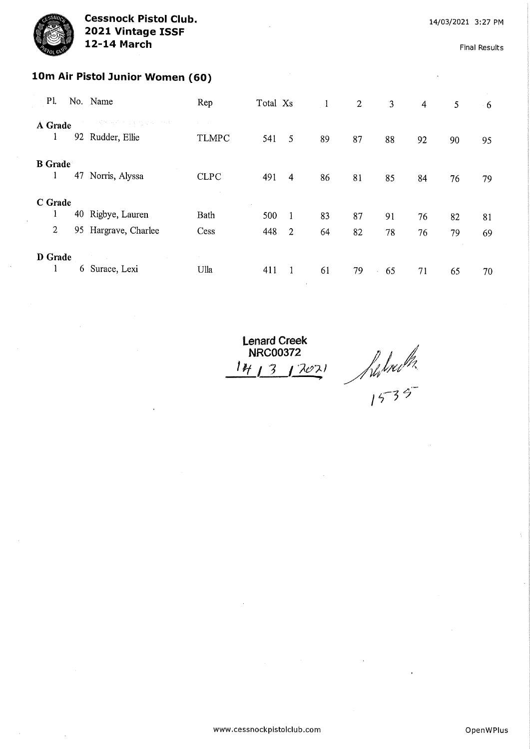Final Results

# 10m Air Pistol Junior Women (60)

| P1.                 |     | No. Name                      | Rep          | Total Xs |                | $\pm 1$ | $\mathbf{2}$ | $\overline{3}$ | 4  | 5  | $-6$ |
|---------------------|-----|-------------------------------|--------------|----------|----------------|---------|--------------|----------------|----|----|------|
| A Grade<br>1        |     | on ny ter<br>92 Rudder, Ellie | <b>TLMPC</b> | 541      | 5              | 89      | 87           | 88             | 92 | 90 | 95   |
| <b>B</b> Grade<br>1 | 47  | Norris, Alyssa                | <b>CLPC</b>  | 491      | 4              | 86      | 81           | 85             | 84 | 76 | 79   |
| C Grade             |     |                               |              |          |                |         |              |                |    |    |      |
| 1                   | 40  | Rigbye, Lauren                | Bath         | 500      | 1              | 83      | 87           | 91             | 76 | 82 | 81   |
| $\overline{2}$      | 95. | Hargrave, Charlee             | Cess         | 448      | $\overline{2}$ | 64      | 82           | 78             | 76 | 79 | 69   |
| D Grade             | 6   | Surace, Lexi                  | Ulla         | 411      |                | 61      | 79           | 65             | 71 | 65 | 70   |
|                     |     |                               |              |          |                |         |              |                |    |    |      |

Lenard Creek NRC00372<br> $1413122$  $\frac{4}{13}$  1 7071 / Where

 $25^{\circ}$ 

www.cessnockpistolclub.com OpenWPIus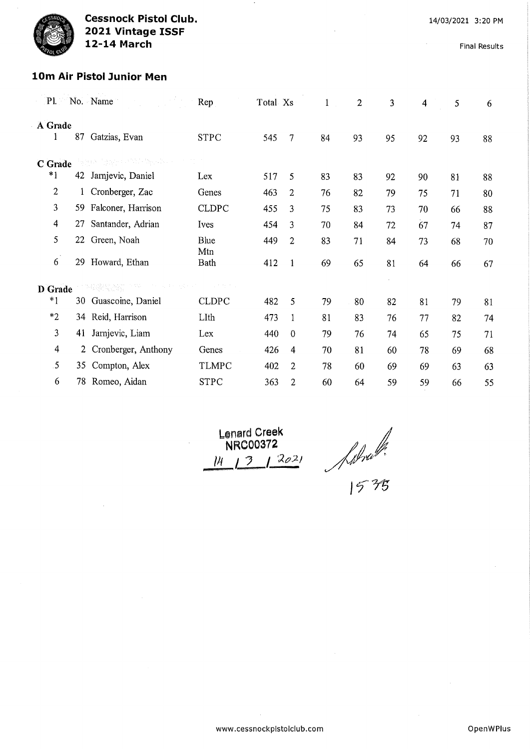Final Results

## l0m Air Pistol Junior Men

| PL           |     | No. Name              | Rep          | Total Xs |                         | $\mathbf{1}$ | $\overline{2}$ | 3  | 4  | 5  | 6  |
|--------------|-----|-----------------------|--------------|----------|-------------------------|--------------|----------------|----|----|----|----|
| A Grade<br>1 | 87  | Gatzias, Evan         | <b>STPC</b>  | 545      | 7                       | 84           | 93             | 95 | 92 | 93 | 88 |
| C Grade      |     | on typy contribution. |              |          |                         |              |                |    |    |    |    |
| $*1$         | 42  | Jarnjevic, Daniel     | Lex          | 517      | 5                       | 83           | 83             | 92 | 90 | 81 | 88 |
| 2            | 1   | Cronberger, Zac       | Genes        | 463      | $\overline{2}$          | 76           | 82             | 79 | 75 | 71 | 80 |
| 3            | 59. | Falconer, Harrison    | <b>CLDPC</b> | 455      | 3                       | 75           | 83             | 73 | 70 | 66 | 88 |
| 4            | 27  | Santander, Adrian     | Ives         | 454      | 3                       | 70           | 84             | 72 | 67 | 74 | 87 |
| 5            | 22  | Green, Noah           | Blue         | 449      | $\overline{2}$          | 83           | 71             | 84 | 73 | 68 | 70 |
| $\sim$<br>6  | 29  | Howard, Ethan         | Mtn<br>Bath  | 412      | $\mathbf{1}$            | 69           | 65             | 81 | 64 | 66 | 67 |
| D Grade      |     | 4条理水动 29%             |              |          |                         |              |                |    |    |    |    |
| $*1$         |     | 30 Guascoine, Daniel  | <b>CLDPC</b> | 482      | 5                       | 79           | 80             | 82 | 81 | 79 | 81 |
| $*_{2}$      |     | 34 Reid, Harrison     | LIth         | 473      | 1                       | 81           | 83             | 76 | 77 | 82 | 74 |
| 3            | 41  | Jarnjevic, Liam       | Lex          | 440      | $\theta$                | 79           | 76             | 74 | 65 | 75 | 71 |
| 4            |     | 2 Cronberger, Anthony | Genes        | 426      | $\overline{\mathbf{4}}$ | 70           | 81             | 60 | 78 | 69 | 68 |
| 5            |     | 35 Compton, Alex      | TLMPC        | 402      | 2                       | 78           | 60             | 69 | 69 | 63 | 63 |
| 6            | 78  | Romeo, Aidan          | <b>STPC</b>  | 363      | $\overline{c}$          | 60           | 64             | 59 | 59 | 66 | 55 |

 $L$ enard Creek NRC00372 1 3 1 2021

Appro 12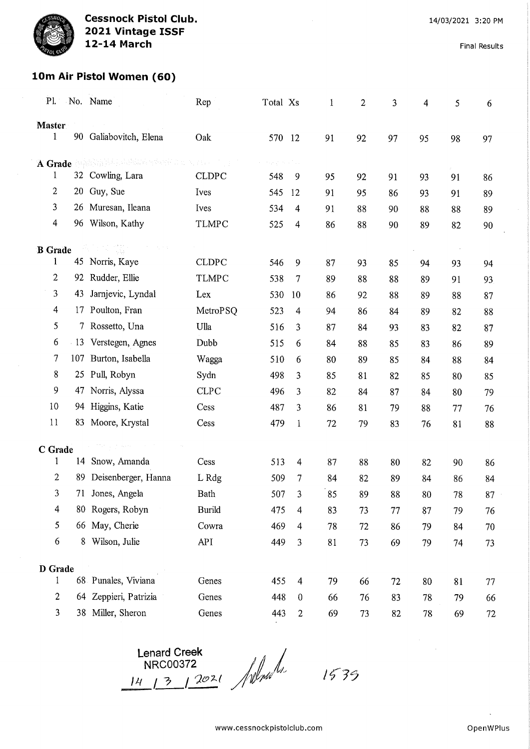Final Results

## l0m Air Pistol Women (60)

| $\mathbf{P}$ l. |    | No. Name                                                                                                                                                                                                                                                                                                  | Rep           | Total Xs |                         | 1  | $\boldsymbol{2}$ | 3  | 4  | 5  | 6      |
|-----------------|----|-----------------------------------------------------------------------------------------------------------------------------------------------------------------------------------------------------------------------------------------------------------------------------------------------------------|---------------|----------|-------------------------|----|------------------|----|----|----|--------|
| <b>Master</b>   |    |                                                                                                                                                                                                                                                                                                           |               |          |                         |    |                  |    |    |    |        |
| $\mathbf{1}$    |    | 90 Galiabovitch, Elena                                                                                                                                                                                                                                                                                    | Oak           | 570 12   |                         | 91 | 92               | 97 | 95 | 98 | 97     |
|                 |    | $\sum_{i=1}^n\sum_{i=1}^n\sum_{j=1}^n\sum_{j=1}^n\sum_{j=1}^n\sum_{j=1}^n\sum_{j=1}^n\sum_{j=1}^n\sum_{j=1}^n\sum_{j=1}^n\sum_{j=1}^n\sum_{j=1}^n\sum_{j=1}^n\sum_{j=1}^n\sum_{j=1}^n\sum_{j=1}^n\sum_{j=1}^n\sum_{j=1}^n\sum_{j=1}^n\sum_{j=1}^n\sum_{j=1}^n\sum_{j=1}^n\sum_{j=1}^n\sum_{j=1}^n\sum_{j$ |               |          |                         |    |                  |    |    |    |        |
| A Grade<br>1    |    | 32 Cowling, Lara                                                                                                                                                                                                                                                                                          | <b>CLDPC</b>  | 548      | 9                       | 95 | 92               | 91 | 93 | 91 | 86     |
| $\overline{2}$  |    | 20 Guy, Sue                                                                                                                                                                                                                                                                                               | Ives          | 545      | 12                      | 91 | 95               | 86 | 93 | 91 | 89     |
| 3               |    | 26 Muresan, Ileana                                                                                                                                                                                                                                                                                        | Ives          | 534      | 4                       | 91 | 88               | 90 | 88 | 88 | 89     |
| $\overline{4}$  |    | 96 Wilson, Kathy                                                                                                                                                                                                                                                                                          | <b>TLMPC</b>  | 525      | $\overline{4}$          | 86 | 88               | 90 | 89 | 82 | 90     |
|                 |    |                                                                                                                                                                                                                                                                                                           |               |          |                         |    |                  |    |    |    |        |
| <b>B</b> Grade  |    |                                                                                                                                                                                                                                                                                                           |               |          |                         |    |                  |    |    |    |        |
| 1               |    | 45 Norris, Kaye                                                                                                                                                                                                                                                                                           | <b>CLDPC</b>  | 546      | 9                       | 87 | 93               | 85 | 94 | 93 | 94     |
| $\overline{c}$  |    | 92 Rudder, Ellie                                                                                                                                                                                                                                                                                          | <b>TLMPC</b>  | 538      | 7                       | 89 | 88               | 88 | 89 | 91 | 93     |
| 3               | 43 | Jarnjevic, Lyndal                                                                                                                                                                                                                                                                                         | Lex           | 530      | 10                      | 86 | 92               | 88 | 89 | 88 | 87     |
| 4               |    | 17 Poulton, Fran                                                                                                                                                                                                                                                                                          | MetroPSQ      | 523      | 4                       | 94 | 86               | 84 | 89 | 82 | 88     |
| 5               | 7  | Rossetto, Una                                                                                                                                                                                                                                                                                             | Ulla          | 516      | 3                       | 87 | 84               | 93 | 83 | 82 | 87     |
| 6               |    | 13 Verstegen, Agnes                                                                                                                                                                                                                                                                                       | Dubb          | 515      | 6                       | 84 | 88               | 85 | 83 | 86 | 89     |
| 7               |    | 107 Burton, Isabella                                                                                                                                                                                                                                                                                      | Wagga         | 510      | 6                       | 80 | 89               | 85 | 84 | 88 | 84     |
| 8               |    | 25 Pull, Robyn                                                                                                                                                                                                                                                                                            | Sydn          | 498      | 3                       | 85 | 81               | 82 | 85 | 80 | 85     |
| 9               | 47 | Norris, Alyssa                                                                                                                                                                                                                                                                                            | <b>CLPC</b>   | 496      | 3                       | 82 | 84               | 87 | 84 | 80 | 79     |
| 10              |    | 94 Higgins, Katie                                                                                                                                                                                                                                                                                         | Cess          | 487      | 3                       | 86 | 81               | 79 | 88 | 77 | 76     |
| 11              | 83 | Moore, Krystal                                                                                                                                                                                                                                                                                            | Cess          | 479      | $\mathbf{1}$            | 72 | 79               | 83 | 76 | 81 | 88     |
| C Grade         |    |                                                                                                                                                                                                                                                                                                           |               |          |                         |    |                  |    |    |    |        |
| $\mathbf{1}$    |    | 14 Snow, Amanda                                                                                                                                                                                                                                                                                           | Cess          | 513      | 4                       | 87 | 88               | 80 | 82 | 90 | 86     |
| $\overline{2}$  | 89 | Deisenberger, Hanna                                                                                                                                                                                                                                                                                       | L Rdg         | 509      | 7                       | 84 | 82               | 89 | 84 | 86 | 84     |
| 3               |    | 71 Jones, Angela                                                                                                                                                                                                                                                                                          | Bath          | 507      | 3                       | 85 | 89               | 88 | 80 | 78 | 87     |
| $\overline{4}$  |    | 80 Rogers, Robyn                                                                                                                                                                                                                                                                                          | <b>Burild</b> | 475      | $\overline{\mathbf{4}}$ | 83 | 73               | 77 | 87 | 79 | 76     |
| 5               |    | 66 May, Cherie                                                                                                                                                                                                                                                                                            | Cowra         | 469      | 4                       | 78 | 72               | 86 | 79 | 84 | 70     |
| 6               |    | 8 Wilson, Julie                                                                                                                                                                                                                                                                                           | <b>API</b>    | 449      | 3                       | 81 | 73               | 69 | 79 | 74 | 73     |
|                 |    |                                                                                                                                                                                                                                                                                                           |               |          |                         |    |                  |    |    |    |        |
| D Grade<br>1    |    | 68 Punales, Viviana                                                                                                                                                                                                                                                                                       | Genes         | 455      | $\overline{4}$          | 79 | 66               | 72 | 80 | 81 | 77     |
| $\overline{c}$  |    | 64 Zeppieri, Patrizia                                                                                                                                                                                                                                                                                     | Genes         | 448      | $\bf{0}$                | 66 | 76               | 83 | 78 | 79 | 66     |
| 3               |    | 38 Miller, Sheron                                                                                                                                                                                                                                                                                         | Genes         | 443      | $\overline{c}$          | 69 | 73               | 82 | 78 | 69 | $72\,$ |

Lenard Creek NRC00372  $\frac{14}{1^2}$   $\frac{3}{1^2}$ Jel*na 1.*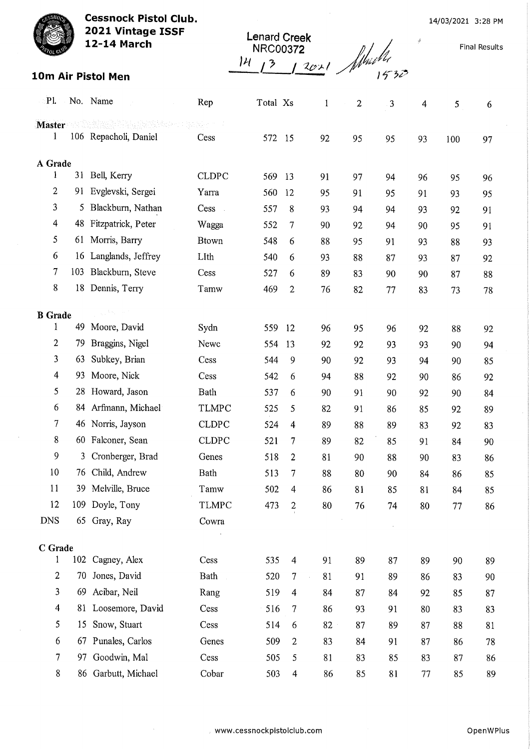Cessnock Pistol Club. 2021 Vintage ISSF

12-14 March

Lenard Creek NRC00372  $\frac{14}{1^3}$   $\frac{1201}{1^3}$  fluid 14

Final Results

|  | 10m Air Pistol Men |  |
|--|--------------------|--|
|  |                    |  |

| $\mathbf{P}$ l.         |          | No. Name                         | Rep                    | Total Xs   |                         | $\mathbf{1}$ | $\overline{c}$ | 3        | 4        | 5        | 6        |
|-------------------------|----------|----------------------------------|------------------------|------------|-------------------------|--------------|----------------|----------|----------|----------|----------|
| Master                  |          |                                  |                        |            |                         |              |                |          |          |          |          |
| 1                       |          | 106 Repacholi, Daniel            | Cess                   | 572        | 15                      | 92           | 95             | 95       | 93       | 100      | 97       |
|                         |          |                                  |                        |            |                         |              |                |          |          |          |          |
| A Grade<br>$\mathbf{1}$ |          | 31 Bell, Kerry                   | <b>CLDPC</b>           | 569        | 13                      | 91           | 97             | 94       | 96       | 95       |          |
| 2                       |          | 91 Evglevski, Sergei             | Yarra                  | 560        | 12                      | 95           | 91             | 95       | 91       | 93       | 96<br>95 |
| 3                       | 5.       | Blackburn, Nathan                | Cess<br>$\mathbb{R}^2$ | 557        | 8                       | 93           | 94             | 94       | 93       | 92       | 91       |
| $\overline{\mathbf{4}}$ | 48       | Fitzpatrick, Peter               | Wagga                  | 552        | 7                       | 90           | 92             | 94       | 90       | 95       | 91       |
| 5                       |          | 61 Morris, Barry                 | <b>Btown</b>           | 548        | 6                       | 88           | 95             | 91       | 93       | 88       | 93       |
| 6                       | 16       | Langlands, Jeffrey               | LIth                   | 540        | 6                       | 93           | 88             | 87       | 93       | 87       | 92       |
| 7                       |          | 103 Blackburn, Steve             | Cess                   | 527        | 6                       | 89           | 83             | 90       | 90       | 87       | 88       |
| 8                       | 18       | Dennis, Terry                    | Tamw                   | 469        | $\overline{c}$          | 76           | 82             | 77       | 83       | 73       | 78       |
|                         |          |                                  |                        |            |                         |              |                |          |          |          |          |
| <b>B</b> Grade<br>1     |          |                                  |                        |            |                         |              |                |          |          |          |          |
| $\overline{2}$          |          | 49 Moore, David                  | Sydn                   | 559        | 12                      | 96           | 95             | 96       | 92       | 88       | 92       |
| 3                       | 79<br>63 | Braggins, Nigel<br>Subkey, Brian | Newc                   | 554        | 13                      | 92           | 92             | 93       | 93       | 90       | 94       |
| 4                       | 93       | Moore, Nick                      | Cess                   | 544        | 9                       | 90           | 92             | 93       | 94       | 90       | 85       |
| 5                       |          | 28 Howard, Jason                 | Cess<br>Bath           | 542        | 6                       | 94           | 88             | 92       | 90       | 86       | 92       |
| 6                       |          | 84 Arfmann, Michael              | <b>TLMPC</b>           | 537<br>525 | 6<br>5                  | 90           | 91             | 90       | 92       | 90       | 84       |
| 7                       |          | 46 Norris, Jayson                | <b>CLDPC</b>           | 524        |                         | 82<br>89     | 91             | 86       | 85       | 92       | 89       |
| 8                       |          | 60 Falconer, Sean                | <b>CLDPC</b>           | 521        | 4<br>7                  | 89           | 88             | 89       | 83       | 92       | 83       |
| 9                       | 3        | Cronberger, Brad                 | Genes                  | 518        | 2                       | 81           | 82<br>90       | 85<br>88 | 91<br>90 | 84<br>83 | 90       |
| 10                      | 76       | Child, Andrew                    | Bath                   | 513        | 7                       | 88           | 80             | 90       | 84       | 86       | 86<br>85 |
| 11                      | 39       | Melville, Bruce                  | Tamw                   | 502        | 4                       | 86           | 81             | 85       | 81       | 84       | 85       |
| 12                      |          | 109 Doyle, Tony                  | <b>TLMPC</b>           | 473        | $\frac{2}{1}$           | 80           | 76             | 74       | 80       | 77       | 86       |
| <b>DNS</b>              |          | 65 Gray, Ray                     | Cowra                  |            |                         |              |                |          |          |          |          |
|                         |          |                                  |                        |            |                         |              |                |          |          |          |          |
| C Grade                 |          |                                  |                        |            |                         |              |                |          |          |          |          |
| 1                       |          | 102 Cagney, Alex                 | Cess                   | 535        | $\overline{4}$          | 91           | 89             | 87       | 89       | 90       | 89       |
| $\overline{2}$          | 70       | Jones, David                     | Bath                   | 520        | 7                       | 81<br>à,     | 91             | 89       | 86       | 83       | 90       |
| 3                       | 69       | Acibar, Neil                     | Rang                   | 519        | $\overline{4}$          | 84           | 87             | 84       | 92       | 85       | 87       |
| $\overline{4}$          |          | 81 Loosemore, David              | Cess                   | 516        | 7                       | 86           | 93             | 91       | 80       | 83       | 83       |
| 5                       | 15       | Snow, Stuart                     | Cess                   | 514        | 6                       | 82           | 87             | 89       | 87       | 88       | 81       |
| 6                       |          | 67 Punales, Carlos               | Genes                  | 509        | $\overline{c}$          | 83           | 84             | 91       | 87       | 86       | 78       |
| 7                       | 97       | Goodwin, Mal                     | Cess                   | 505        | 5                       | 81           | 83             | 85       | 83       | 87       | 86       |
| 8                       |          | 86 Garbutt, Michael              | Cobar                  | 503        | $\overline{\mathbf{4}}$ | 86           | 85             | 81       | 77       | 85       | 89       |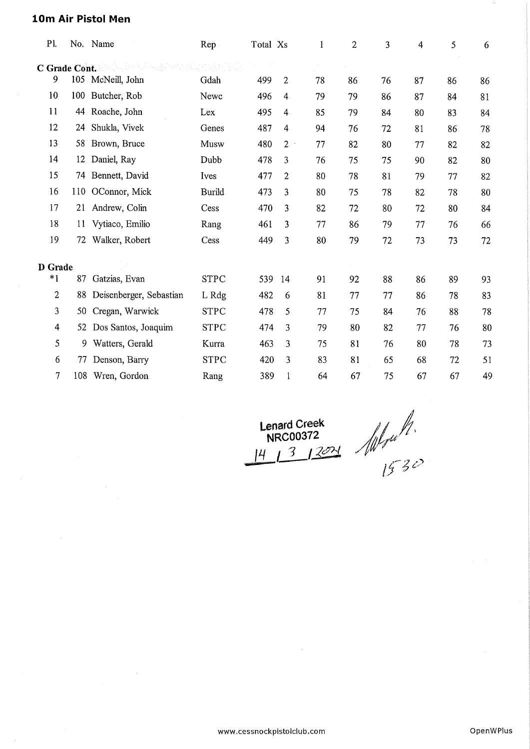## 10m Air Pistol Men

| PI.           |     | No. Name                | Rep           | Total Xs |                | $\mathbf{1}$ | 2  | 3  | 4  | 5  | 6  |
|---------------|-----|-------------------------|---------------|----------|----------------|--------------|----|----|----|----|----|
| C Grade Cont. |     |                         |               |          |                |              |    |    |    |    |    |
| 9             | 105 | McNeill, John           | Gdah          | 499      | $\mathbf{2}$   | 78           | 86 | 76 | 87 | 86 | 86 |
| 10            |     | 100 Butcher, Rob        | Newc          | 496      | 4              | 79           | 79 | 86 | 87 | 84 | 81 |
| 11            | 44  | Roache, John            | Lex           | 495      | 4              | 85           | 79 | 84 | 80 | 83 | 84 |
| 12            | 24  | Shukla, Vivek           | Genes         | 487      | 4              | 94           | 76 | 72 | 81 | 86 | 78 |
| 13            | 58  | Brown, Bruce            | Musw          | 480      | $\overline{2}$ | 77           | 82 | 80 | 77 | 82 | 82 |
| 14            | 12  | Daniel, Ray             | Dubb          | 478      | 3              | 76           | 75 | 75 | 90 | 82 | 80 |
| 15            | 74  | Bennett, David          | Ives          | 477      | $\overline{c}$ | 80           | 78 | 81 | 79 | 77 | 82 |
| 16            |     | 110 OConnor, Mick       | <b>Burild</b> | 473      | 3              | 80           | 75 | 78 | 82 | 78 | 80 |
| 17            | 21  | Andrew, Colin           | Cess          | 470      | 3              | 82           | 72 | 80 | 72 | 80 | 84 |
| 18            | 11  | Vytiaco, Emilio         | Rang          | 461      | 3              | 77           | 86 | 79 | 77 | 76 | 66 |
| 19            | 72  | Walker, Robert          | Cess          | 449      | 3              | 80           | 79 | 72 | 73 | 73 | 72 |
| D Grade       |     |                         |               |          |                |              |    |    |    |    |    |
| $*1$          | 87  | Gatzias, Evan           | <b>STPC</b>   | 539      | 14             | 91           | 92 | 88 | 86 | 89 | 93 |
| 2             | 88  | Deisenberger, Sebastian | L Rdg         | 482      | 6              | 81           | 77 | 77 | 86 | 78 | 83 |
| 3             | 50  | Cregan, Warwick         | <b>STPC</b>   | 478      | 5              | 77           | 75 | 84 | 76 | 88 | 78 |
| 4             | 52  | Dos Santos, Joaquim     | <b>STPC</b>   | 474      | 3              | 79           | 80 | 82 | 77 | 76 | 80 |
| 5             | 9   | Watters, Gerald         | Kurra         | 463      | 3              | 75           | 81 | 76 | 80 | 78 | 73 |
| 6             | 77  | Denson, Barry           | <b>STPC</b>   | 420      | 3              | 83           | 81 | 65 | 68 | 72 | 51 |
| $\tau$        | 108 | Wren, Gordon            | Rang          | 389      | 1              | 64           | 67 | 75 | 67 | 67 | 49 |
|               |     |                         |               |          |                |              |    |    |    |    |    |

Lenard Creek NRC00372 Lenard Creek<br>NRC00372<br>|4 1 3 1 2021

 $\sim 10$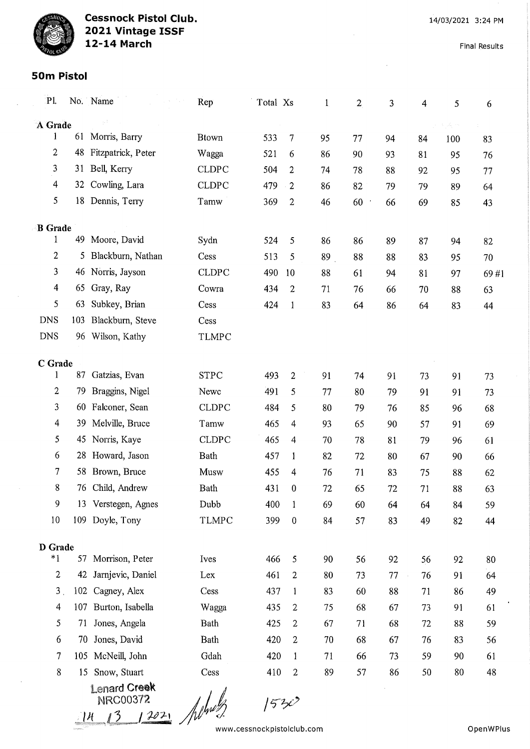Final Results

#### 50m Pistol

| P1.            |     | No. Name                                                    | Rep          | Total Xs |                  | $\mathbf{1}$ | $\boldsymbol{2}$ | 3  | 4  | 5      | 6    |
|----------------|-----|-------------------------------------------------------------|--------------|----------|------------------|--------------|------------------|----|----|--------|------|
| A Grade        |     |                                                             |              |          |                  |              |                  |    |    | Agosto |      |
| 1              |     | 61 Morris, Barry                                            | <b>Btown</b> | 533      | 7                | 95           | 77               | 94 | 84 | 100    | 83   |
| $\overline{2}$ | 48  | Fitzpatrick, Peter                                          | Wagga        | 521      | 6                | 86           | 90               | 93 | 81 | 95     | 76   |
| 3              | 31  | Bell, Kerry                                                 | <b>CLDPC</b> | 504      | 2                | 74           | 78               | 88 | 92 | 95     | 77   |
| $\overline{4}$ | 32  | Cowling, Lara                                               | <b>CLDPC</b> | 479      | $\cdot$ 2        | 86           | 82               | 79 | 79 | 89     | 64   |
| 5              |     | 18 Dennis, Terry                                            | Tamw         | 369      | $\overline{2}$   | 46           | 60<br>$\bar{a}$  | 66 | 69 | 85     | 43   |
| <b>B</b> Grade |     |                                                             |              |          |                  |              |                  |    |    |        |      |
| 1              | 49  | Moore, David                                                | Sydn         | 524      | 5                | 86           | 86               | 89 | 87 | 94     | 82   |
| $\overline{2}$ | 5   | Blackburn, Nathan                                           | Cess         | 513      | 5                | 89           | 88               | 88 | 83 | 95     | 70   |
| 3              | 46  | Norris, Jayson                                              | <b>CLDPC</b> | 490      | 10               | 88           | 61               | 94 | 81 | 97     | 69#1 |
| 4              | 65  | Gray, Ray                                                   | Cowra        | 434      | $\boldsymbol{2}$ | 71           | 76               | 66 | 70 | 88     | 63   |
| 5              | 63  | Subkey, Brian                                               | Cess         | 424      | $\mathbf{1}$     | 83           | 64               | 86 | 64 | 83     | 44   |
| <b>DNS</b>     | 103 | Blackburn, Steve                                            | Cess         |          |                  |              |                  |    |    |        |      |
| <b>DNS</b>     | 96  | Wilson, Kathy                                               | <b>TLMPC</b> |          |                  |              |                  |    |    |        |      |
| C Grade        |     |                                                             |              |          |                  |              |                  |    |    |        |      |
| 1              | 87  | Gatzias, Evan                                               | <b>STPC</b>  | 493      | $\overline{c}$   | 91           | 74               | 91 | 73 | 91     | 73   |
| $\overline{c}$ | 79  | Braggins, Nigel                                             | Newc         | 491      | 5                | 77           | 80               | 79 | 91 | 91     | 73   |
| 3              | 60  | Falconer, Sean                                              | <b>CLDPC</b> | 484      | 5                | 80           | 79               | 76 | 85 | 96     | 68   |
| 4              | 39  | Melville, Bruce                                             | Tamw         | 465      | 4                | 93           | 65               | 90 | 57 | 91     | 69   |
| 5              |     | 45 Norris, Kaye                                             | <b>CLDPC</b> | 465      | 4                | 70           | 78               | 81 | 79 | 96     | 61   |
| 6              | 28  | Howard, Jason                                               | Bath         | 457      | 1                | 82           | 72               | 80 | 67 | 90     | 66   |
| 7              | 58  | Brown, Bruce                                                | Musw         | 455      | 4                | 76           | 71               | 83 | 75 | 88     | 62   |
| 8              | 76  | Child, Andrew                                               | Bath         | 431      | 0                | 72           | 65               | 72 | 71 | 88     | 63   |
| 9              |     | 13 Verstegen, Agnes                                         | Dubb         | 400      | 1                | 69           | 60               | 64 | 64 | 84     | 59   |
| 10             |     | 109 Doyle, Tony                                             | <b>TLMPC</b> | 399      | $\boldsymbol{0}$ | 84           | 57               | 83 | 49 | 82     | 44   |
| D Grade        |     |                                                             |              |          |                  |              |                  |    |    |        |      |
| $*1$           |     | 57 Morrison, Peter                                          | Ives         | 466      | 5                | 90           | 56               | 92 | 56 | 92     | 80   |
| $\overline{2}$ |     | 42 Jarnjevic, Daniel                                        | Lex          | 461      | $\overline{2}$   | 80           | 73               | 77 | 76 | 91     | 64   |
| 3 <sub>1</sub> |     | 102 Cagney, Alex                                            | Cess         | 437      | $\mathbf{1}$     | 83           | 60               | 88 | 71 | 86     | 49   |
| $\overline{4}$ |     | 107 Burton, Isabella                                        | Wagga        | 435      | 2                | 75           | 68               | 67 | 73 | 91     | 61   |
| 5              |     | 71 Jones, Angela                                            | Bath         | 425      | $\overline{c}$   | 67           | 71               | 68 | 72 | 88     | 59   |
| 6              | 70  | Jones, David                                                | Bath         | 420      | $\overline{2}$   | 70           | 68               | 67 | 76 | 83     | 56   |
| $\overline{7}$ |     | 105 McNeill, John                                           | Gdah         | 420      | $\mathbf{1}$     | 71           | 66               | 73 | 59 | 90     | 61   |
| 8              | 15  | Snow, Stuart                                                | Cess         | 410      | $\overline{2}$   | 89           | 57               | 86 | 50 | 80     | 48   |
|                |     | <b>Lenard Creek</b><br><b>NRC00372</b><br>$14$ $13$ $12021$ |              | 53c      |                  |              |                  |    |    |        |      |

 $\frac{14}{13}$   $\frac{13021}{100}$ www, cessnockpistolclub, corn OpenWPIus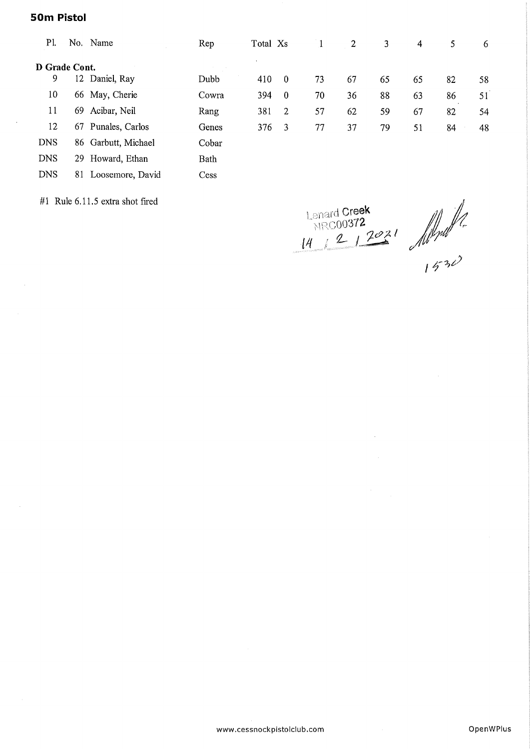#### 50m Pistol

| P1.           |     | No. Name            | Rep   | Total Xs |                |    | 2  | 3  | 4  | 5  | 6  |
|---------------|-----|---------------------|-------|----------|----------------|----|----|----|----|----|----|
| D Grade Cont. |     |                     |       |          |                |    |    |    |    |    |    |
| 9             |     | 12 Daniel, Ray      | Dubb  | 410      | $\overline{0}$ | 73 | 67 | 65 | 65 | 82 | 58 |
| 10            |     | 66 May, Cherie      | Cowra | 394      | $\overline{0}$ | 70 | 36 | 88 | 63 | 86 | 51 |
| 11            | 69. | Acibar, Neil        | Rang  | 381      | 2              | 57 | 62 | 59 | 67 | 82 | 54 |
| 12            |     | 67 Punales, Carlos  | Genes | 376      | -3             | 77 | 37 | 79 | 51 | 84 | 48 |
| <b>DNS</b>    |     | 86 Garbutt, Michael | Cobar |          |                |    |    |    |    |    |    |
| <b>DNS</b>    | 29  | Howard, Ethan       | Bath  |          |                |    |    |    |    |    |    |
| <b>DNS</b>    | 81  | Loosemore, David    | Cess  |          |                |    |    |    |    |    |    |

#1 Rule  $6.11.5$  extra shot fired

**Lenard Creek**  $NRC00372$  $12$   $1202$ 

 $\bar{\lambda}$ 

www.cessnockplstolclub.com OpenWPIus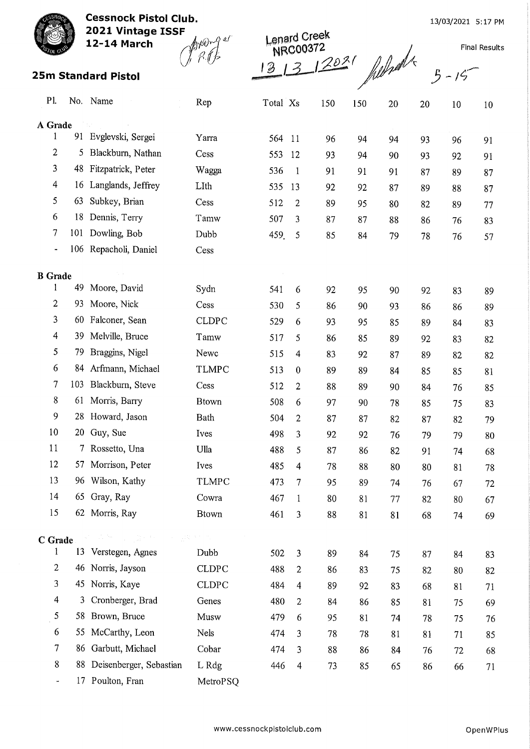13/03/2021 5:17 PM

Final Results



Cessnock Pistol Club. 2021 Vintage ISSF

12-14 March  $\mathcal{A}^{\text{poly}}$ 

 $R$ .fr

I creek NRC00372 25m Standard Pistol  $(1, 8, 1)$ <br>25m Standard Pistol  $\frac{13}{3}$   $\frac{13}{3}$   $\frac{13}{3}$   $\frac{130^{3}}{3}$   $\frac{1}{3}$   $\frac{1}{3}$   $\frac{1}{3}$   $\frac{1}{3}$   $\frac{1}{3}$   $\frac{1}{3}$   $\frac{1}{3}$   $\frac{1}{3}$   $\frac{1}{3}$   $\frac{1}{3}$   $\frac{1}{3}$   $\frac{1}{3}$ 

|  | $3 - 15$ |  |
|--|----------|--|

| P1.                 |     | No. Name                                        | Rep               | Total Xs |                  | 150 | 150 | 20 | 20 | 10 | 10 |
|---------------------|-----|-------------------------------------------------|-------------------|----------|------------------|-----|-----|----|----|----|----|
| A Grade             |     |                                                 |                   |          |                  |     |     |    |    |    |    |
| $\mathbf{1}$        | 91  | Evglevski, Sergei                               | Yarra             | 564      | 11               | 96  | 94  | 94 | 93 | 96 | 91 |
| 2                   | 5   | Blackburn, Nathan                               | Cess              | 553      | 12               | 93  | 94  | 90 | 93 | 92 | 91 |
| 3                   | 48  | Fitzpatrick, Peter                              | Wagga             | 536      | $\mathbf{1}$     | 91  | 91  | 91 | 87 | 89 | 87 |
| 4                   | 16  | Langlands, Jeffrey                              | LIth              | 535      | 13               | 92  | 92  | 87 | 89 | 88 | 87 |
| 5                   | 63  | Subkey, Brian                                   | Cess              | 512      | $\overline{c}$   | 89  | 95  | 80 | 82 | 89 | 77 |
| 6                   | 18  | Dennis, Terry                                   | Tamw              | 507      | 3                | 87  | 87  | 88 | 86 | 76 | 83 |
| 7                   | 101 | Dowling, Bob                                    | Dubb              | 459.     | 5                | 85  | 84  | 79 | 78 | 76 | 57 |
| -                   |     | 106 Repacholi, Daniel                           | Cess              |          |                  |     |     |    |    |    |    |
|                     |     |                                                 |                   |          |                  |     |     |    |    |    |    |
| <b>B</b> Grade<br>1 | 49  | Moore, David                                    | Sydn              | 541      | 6                | 92  | 95  | 90 | 92 | 83 | 89 |
| $\overline{c}$      | 93  | Moore, Nick                                     | Cess              | 530      | 5                | 86  | 90  | 93 | 86 | 86 | 89 |
| 3                   | 60  | Falconer, Sean                                  | <b>CLDPC</b>      | 529      | 6                | 93  | 95  | 85 | 89 | 84 | 83 |
| 4                   | 39  | Melville, Bruce                                 | Tamw              | 517      | 5                | 86  | 85  | 89 | 92 | 83 | 82 |
| 5                   | 79  | Braggins, Nigel                                 | Newc              | 515      | 4                | 83  | 92  | 87 | 89 | 82 | 82 |
| 6                   |     | 84 Arfmann, Michael                             | <b>TLMPC</b>      | 513      | $\boldsymbol{0}$ | 89  | 89  | 84 | 85 | 85 | 81 |
| 7                   | 103 | Blackburn, Steve                                | Cess              | 512      | $\overline{2}$   | 88  | 89  | 90 | 84 | 76 | 85 |
| $8\phantom{1}$      | 61  | Morris, Barry                                   | <b>Btown</b>      | 508      | 6                | 97  | 90  | 78 | 85 | 75 | 83 |
| 9                   | 28  | Howard, Jason                                   | Bath              | 504      | $\overline{c}$   | 87  | 87  | 82 | 87 | 82 | 79 |
| 10                  | 20  | Guy, Sue                                        | Ives              | 498      | 3                | 92  | 92  | 76 | 79 | 79 | 80 |
| 11                  | 7.  | Rossetto, Una                                   | Ulla              | 488      | 5                | 87  | 86  | 82 | 91 | 74 | 68 |
| 12                  | 57  | Morrison, Peter                                 | Ives              | 485      | 4                | 78  | 88  | 80 | 80 | 81 | 78 |
| 13                  |     | 96 Wilson, Kathy                                | <b>TLMPC</b>      | 473      | 7                | 95  | 89  | 74 | 76 | 67 | 72 |
| 14                  |     | 65 Gray, Ray                                    | Cowra             | 467      | $\mathbf{1}$     | 80  | 81  | 77 | 82 | 80 | 67 |
| 15                  |     | 62 Morris, Ray                                  | <b>Btown</b>      | 461      | 3                | 88  | 81  | 81 | 68 | 74 | 69 |
|                     |     |                                                 |                   |          |                  |     |     |    |    |    |    |
| C Grade             |     | $\sum_{i=1}^n \alpha_i = \sum_{i=1}^n \alpha_i$ | <b>デーは気味を</b> と思い |          |                  |     |     |    |    |    |    |
| 1<br>$\overline{2}$ |     | 13 Verstegen, Agnes                             | Dubb              | 502      | $\mathbf{3}$     | 89  | 84  | 75 | 87 | 84 | 83 |
| 3                   |     | 46 Norris, Jayson                               | <b>CLDPC</b>      | 488      | $\overline{c}$   | 86  | 83  | 75 | 82 | 80 | 82 |
|                     |     | 45 Norris, Kaye                                 | <b>CLDPC</b>      | 484      | $\overline{4}$   | 89  | 92  | 83 | 68 | 81 | 71 |
| $\overline{4}$      | 3   | Cronberger, Brad                                | Genes             | 480      | 2                | 84  | 86  | 85 | 81 | 75 | 69 |
| 5                   |     | 58 Brown, Bruce                                 | Musw              | 479      | 6                | 95  | 81  | 74 | 78 | 75 | 76 |
| 6                   |     | 55 McCarthy, Leon                               | Nels              | 474      | 3                | 78  | 78  | 81 | 81 | 71 | 85 |
| $\tau$              |     | 86 Garbutt, Michael                             | Cobar             | 474      | 3                | 88  | 86  | 84 | 76 | 72 | 68 |
| 8                   |     | 88 Deisenberger, Sebastian                      | L Rdg             | 446      | 4                | 73  | 85  | 65 | 86 | 66 | 71 |
| ÷                   |     | 17 Poulton, Fran                                | MetroPSQ          |          |                  |     |     |    |    |    |    |